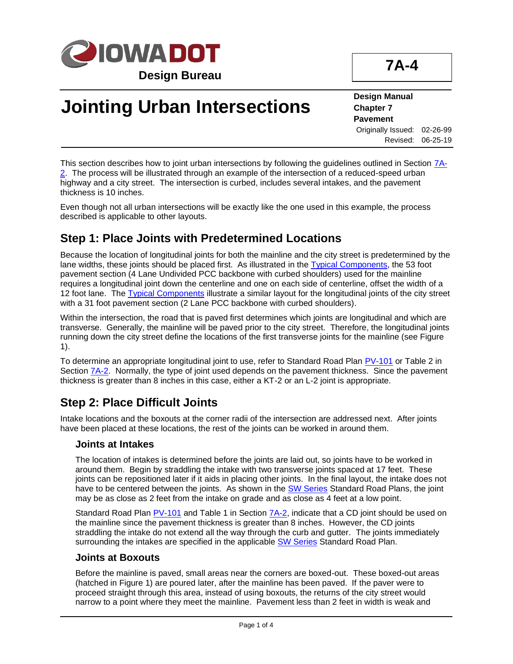

# **Jointing Urban Intersections**

#### **Design Manual Chapter 7 Pavement** Originally Issued: 02-26-99 Revised: 06-25-19

This section describes how to joint urban intersections by following the guidelines outlined in Section  $7A_1$ [2.](07a-02.pdf) The process will be illustrated through an example of the intersection of a reduced-speed urban highway and a city street. The intersection is curbed, includes several intakes, and the pavement thickness is 10 inches.

Even though not all urban intersections will be exactly like the one used in this example, the process described is applicable to other layouts.

## **Step 1: Place Joints with Predetermined Locations**

Because the location of longitudinal joints for both the mainline and the city street is predetermined by the lane widths, these joints should be placed first. As illustrated in the [Typical Components,](../TypicalComponents) the 53 foot pavement section (4 Lane Undivided PCC backbone with curbed shoulders) used for the mainline requires a longitudinal joint down the centerline and one on each side of centerline, offset the width of a 12 foot lane. The [Typical Components](../TypicalComponents) illustrate a similar layout for the longitudinal joints of the city street with a 31 foot pavement section (2 Lane PCC backbone with curbed shoulders).

Within the intersection, the road that is paved first determines which joints are longitudinal and which are transverse. Generally, the mainline will be paved prior to the city street. Therefore, the longitudinal joints running down the city street define the locations of the first transverse joints for the mainline (see Figure 1).

To determine an appropriate longitudinal joint to use, refer to Standard Road Plan [PV-101](../SRP/IndividualStandards/pv101.pdf) or Table 2 in Section  $7A-2$ . Normally, the type of joint used depends on the pavement thickness. Since the pavement thickness is greater than 8 inches in this case, either a KT-2 or an L-2 joint is appropriate.

## **Step 2: Place Difficult Joints**

Intake locations and the boxouts at the corner radii of the intersection are addressed next. After joints have been placed at these locations, the rest of the joints can be worked in around them.

#### **Joints at Intakes**

The location of intakes is determined before the joints are laid out, so joints have to be worked in around them. Begin by straddling the intake with two transverse joints spaced at 17 feet. These joints can be repositioned later if it aids in placing other joints. In the final layout, the intake does not have to be centered between the joints. As shown in the **SW Series** Standard Road Plans, the joint may be as close as 2 feet from the intake on grade and as close as 4 feet at a low point.

Standard Road Plan [PV-101](../SRP/IndividualStandards/pv101.pdf) and Table 1 in Section [7A-2,](07a-02.pdf) indicate that a CD joint should be used on the mainline since the pavement thickness is greater than 8 inches. However, the CD joints straddling the intake do not extend all the way through the curb and gutter. The joints immediately surrounding the intakes are specified in the applicable **SW Series Standard Road Plan.** 

#### **Joints at Boxouts**

Before the mainline is paved, small areas near the corners are boxed-out. These boxed-out areas (hatched in Figure 1) are poured later, after the mainline has been paved. If the paver were to proceed straight through this area, instead of using boxouts, the returns of the city street would narrow to a point where they meet the mainline. Pavement less than 2 feet in width is weak and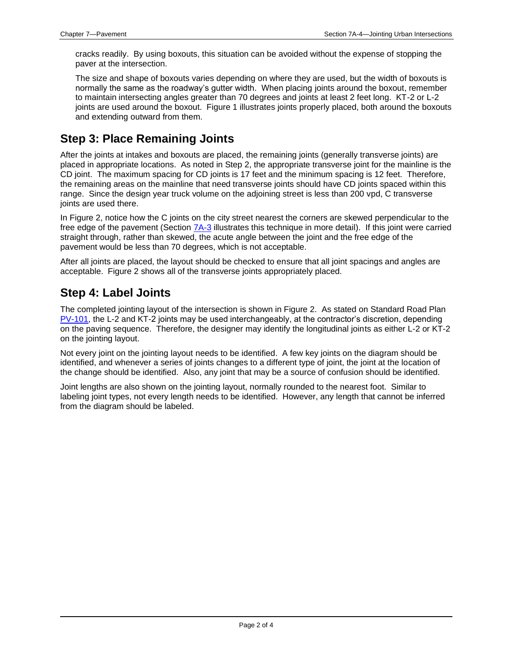cracks readily. By using boxouts, this situation can be avoided without the expense of stopping the paver at the intersection.

The size and shape of boxouts varies depending on where they are used, but the width of boxouts is normally the same as the roadway's gutter width. When placing joints around the boxout, remember to maintain intersecting angles greater than 70 degrees and joints at least 2 feet long. KT-2 or L-2 joints are used around the boxout. Figure 1 illustrates joints properly placed, both around the boxouts and extending outward from them.

## **Step 3: Place Remaining Joints**

After the joints at intakes and boxouts are placed, the remaining joints (generally transverse joints) are placed in appropriate locations. As noted in Step 2, the appropriate transverse joint for the mainline is the CD joint. The maximum spacing for CD joints is 17 feet and the minimum spacing is 12 feet. Therefore, the remaining areas on the mainline that need transverse joints should have CD joints spaced within this range. Since the design year truck volume on the adjoining street is less than 200 vpd, C transverse joints are used there.

In Figure 2, notice how the C joints on the city street nearest the corners are skewed perpendicular to the free edge of the pavement (Section [7A-3](07a-03.pdf) illustrates this technique in more detail). If this joint were carried straight through, rather than skewed, the acute angle between the joint and the free edge of the pavement would be less than 70 degrees, which is not acceptable.

After all joints are placed, the layout should be checked to ensure that all joint spacings and angles are acceptable. Figure 2 shows all of the transverse joints appropriately placed.

### **Step 4: Label Joints**

The completed jointing layout of the intersection is shown in Figure 2. As stated on Standard Road Plan [PV-101,](../SRP/IndividualStandards/pv101.pdf) the L-2 and KT-2 joints may be used interchangeably, at the contractor's discretion, depending on the paving sequence. Therefore, the designer may identify the longitudinal joints as either L-2 or KT-2 on the jointing layout.

Not every joint on the jointing layout needs to be identified. A few key joints on the diagram should be identified, and whenever a series of joints changes to a different type of joint, the joint at the location of the change should be identified. Also, any joint that may be a source of confusion should be identified.

Joint lengths are also shown on the jointing layout, normally rounded to the nearest foot. Similar to labeling joint types, not every length needs to be identified. However, any length that cannot be inferred from the diagram should be labeled.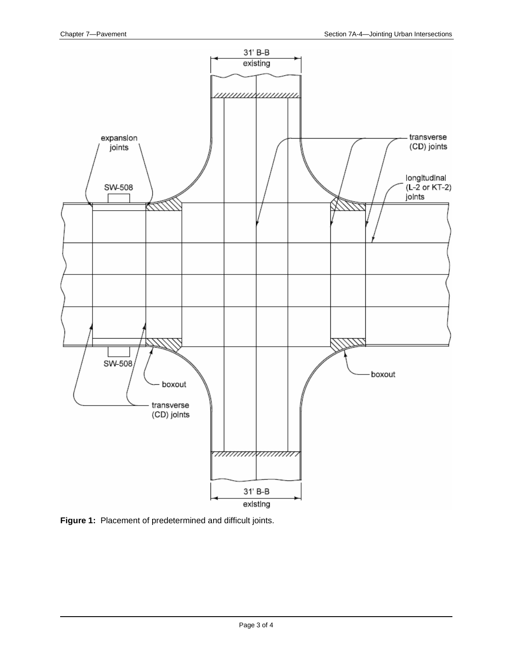

**Figure 1:** Placement of predetermined and difficult joints.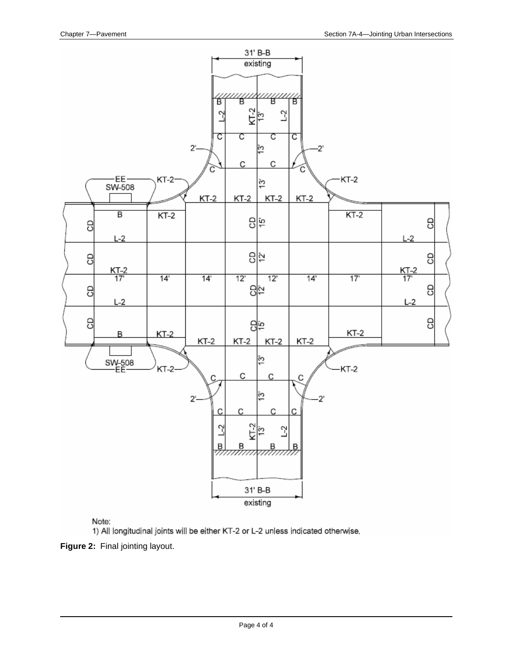

Note:

1) All longitudinal joints will be either KT-2 or L-2 unless indicated otherwise.